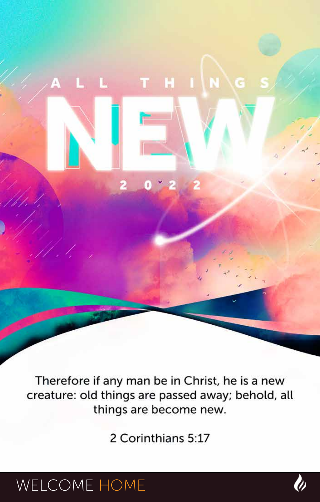Therefore if any man be in Christ, he is a new creature: old things are passed away; behold, all things are become new.

o

T H I N G

2 Corinthians 5:17

## WELCOME HOME

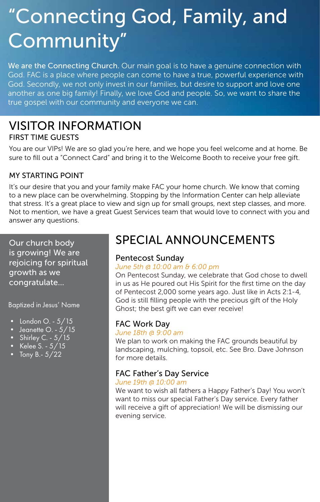# "Connecting God, Family, and Community"

We are the Connecting Church. Our main goal is to have a genuine connection with God. FAC is a place where people can come to have a true, powerful experience with God. Secondly, we not only invest in our families, but desire to support and love one another as one big family! Finally, we love God and people. So, we want to share the true gospel with our community and everyone we can.

#### VISITOR INFORMATION FIRST TIME GUESTS

You are our VIPs! We are so glad you're here, and we hope you feel welcome and at home. Be sure to fill out a "Connect Card" and bring it to the Welcome Booth to receive your free gift.

#### MY STARTING POINT

It's our desire that you and your family make FAC your home church. We know that coming to a new place can be overwhelming. Stopping by the Information Center can help alleviate that stress. It's a great place to view and sign up for small groups, next step classes, and more. Not to mention, we have a great Guest Services team that would love to connect with you and answer any questions.

Our church body is growing! We are rejoicing for spiritual growth as we congratulate...

Baptized in Jesus' Name

- London  $O. 5/15$
- Jeanette O.  $5/15$
- Shirley C.  $5/15$
- Kelee  $S. 5/15$
- Tony B.  $5/22$

### SPECIAL ANNOUNCEMENTS

#### Pentecost Sunday

#### *June 5th @ 10:00 am & 6:00 pm*

On Pentecost Sunday, we celebrate that God chose to dwell in us as He poured out His Spirit for the first time on the day of Pentecost 2,000 some years ago. Just like in Acts 2:1-4, God is still filling people with the precious gift of the Holy Ghost; the best gift we can ever receive!

#### FAC Work Day

#### *June 18th @ 9:00 am*

We plan to work on making the FAC grounds beautiful by landscaping, mulching, topsoil, etc. See Bro. Dave Johnson for more details.

#### FAC Father's Day Service

#### *June 19th @ 10:00 am*

We want to wish all fathers a Happy Father's Day! You won't want to miss our special Father's Day service. Every father will receive a gift of appreciation! We will be dismissing our evening service.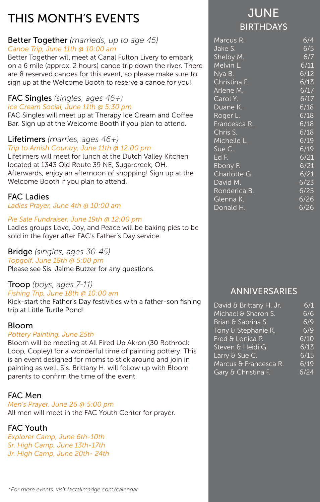### THIS MONTH'S EVENTS

#### Better Together *(marrieds, up to age 45) Canoe Trip, June 11th @ 10:00 am*

Better Together will meet at Canal Fulton Livery to embark on a 6 mile (approx. 2 hours) canoe trip down the river. There are 8 reserved canoes for this event, so please make sure to sign up at the Welcome Booth to reserve a canoe for you!

#### FAC Singles *(singles, ages 46+)*

#### *Ice Cream Social, June 11th @ 5:30 pm*

FAC Singles will meet up at Therapy Ice Cream and Coffee Bar. Sign up at the Welcome Booth if you plan to attend.

#### Lifetimers *(marries, ages 46+) Trip to Amish Country, June 11th @ 12:00 pm*

Lifetimers will meet for lunch at the Dutch Valley Kitchen located at 1343 Old Route 39 NE, Sugarcreek, OH. Afterwards, enjoy an afternoon of shopping! Sign up at the Welcome Booth if you plan to attend.

#### FAC Ladies

#### *Ladies Prayer, June 4th @ 10:00 am*

#### *Pie Sale Fundraiser, June 19th @ 12:00 pm*

Ladies groups Love, Joy, and Peace will be baking pies to be sold in the foyer after FAC's Father's Day service.

#### Bridge *(singles, ages 30-45)*

*Topgolf, June 18th @ 5:00 pm*

Please see Sis. Jaime Butzer for any questions.

#### Troop *(boys, ages 7-11) Fishing Trip, June 18th @ 10:00 am*

Kick-start the Father's Day festivities with a father-son fishing trip at Little Turtle Pond!

#### Bloom

#### *Pottery Painting, June 25th*

Bloom will be meeting at All Fired Up Akron (30 Rothrock Loop, Copley) for a wonderful time of painting pottery. This is an event designed for moms to stick around and join in painting as well. Sis. Brittany H. will follow up with Bloom parents to confirm the time of the event.

#### FAC Men

*Men's Prayer, June 26 @ 5:00 pm* All men will meet in the FAC Youth Center for prayer.

#### FAC Youth

*Explorer Camp, June 6th-10th Sr. High Camp, June 13th-17th Jr. High Camp, June 20th- 24th*

### **JUNE** BIRTHDAYS

| 6/4  |
|------|
| 6/5  |
| 6/7  |
| 6/11 |
| 6/12 |
| 6/13 |
| 6/17 |
| 6/17 |
| 6/18 |
| 6/18 |
| 6/18 |
| 6/18 |
| 6/19 |
| 6/19 |
| 6/21 |
| 6/21 |
| 6/21 |
| 6/23 |
| 6/25 |
| 6/26 |
| 6/26 |
|      |

#### ANNIVERSARIES

| David & Brittany H. Jr. | 6/1  |
|-------------------------|------|
| Michael & Sharon S.     | 6/6  |
| Brian & Sabrina S.      | 6/9  |
| Tony & Stephanie K.     | 6/9  |
| Fred & Lonica P.        | 6/10 |
| Steven & Heidi G.       | 6/13 |
| Larry & Sue C.          | 6/15 |
| Marcus & Francesca R.   | 6/19 |
| Gary & Christina F.     | 6/24 |
|                         |      |